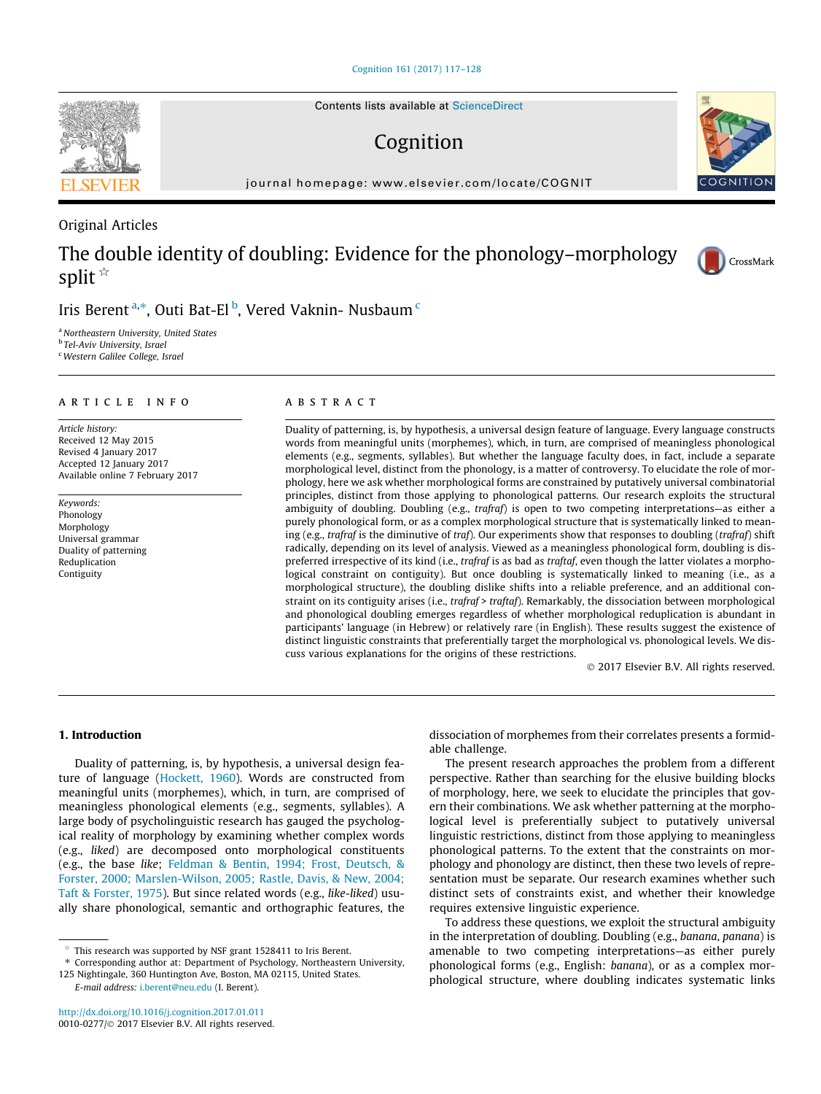[Cognition 161 \(2017\) 117–128](http://dx.doi.org/10.1016/j.cognition.2017.01.011)

# Cognition

journal homepage: [www.elsevier.com/locate/COGNIT](http://www.elsevier.com/locate/COGNIT)

# Original Articles

# The double identity of doubling: Evidence for the phonology–morphology split  $*$

Iris Berent <sup>a,\*</sup>, Outi Bat-El <sup>b</sup>, Vered Vaknin- Nusbaum <sup>c</sup>

<sup>a</sup> Northeastern University, United States <sup>b</sup> Tel-Aviv University, Israel <sup>c</sup>Western Galilee College, Israel

#### article info

Article history: Received 12 May 2015 Revised 4 January 2017 Accepted 12 January 2017 Available online 7 February 2017

Keywords: Phonology Morphology Universal grammar Duality of patterning Reduplication Contiguity

# **ABSTRACT**

Duality of patterning, is, by hypothesis, a universal design feature of language. Every language constructs words from meaningful units (morphemes), which, in turn, are comprised of meaningless phonological elements (e.g., segments, syllables). But whether the language faculty does, in fact, include a separate morphological level, distinct from the phonology, is a matter of controversy. To elucidate the role of morphology, here we ask whether morphological forms are constrained by putatively universal combinatorial principles, distinct from those applying to phonological patterns. Our research exploits the structural ambiguity of doubling. Doubling (e.g., trafraf) is open to two competing interpretations—as either a purely phonological form, or as a complex morphological structure that is systematically linked to meaning (e.g., trafraf is the diminutive of traf). Our experiments show that responses to doubling (trafraf) shift radically, depending on its level of analysis. Viewed as a meaningless phonological form, doubling is dispreferred irrespective of its kind (i.e., trafraf is as bad as traftaf, even though the latter violates a morphological constraint on contiguity). But once doubling is systematically linked to meaning (i.e., as a morphological structure), the doubling dislike shifts into a reliable preference, and an additional constraint on its contiguity arises (i.e., trafraf > traftaf). Remarkably, the dissociation between morphological and phonological doubling emerges regardless of whether morphological reduplication is abundant in participants' language (in Hebrew) or relatively rare (in English). These results suggest the existence of distinct linguistic constraints that preferentially target the morphological vs. phonological levels. We discuss various explanations for the origins of these restrictions.

2017 Elsevier B.V. All rights reserved.

# 1. Introduction

Duality of patterning, is, by hypothesis, a universal design feature of language [\(Hockett, 1960\)](#page-11-0). Words are constructed from meaningful units (morphemes), which, in turn, are comprised of meaningless phonological elements (e.g., segments, syllables). A large body of psycholinguistic research has gauged the psychological reality of morphology by examining whether complex words (e.g., liked) are decomposed onto morphological constituents (e.g., the base like; [Feldman & Bentin, 1994; Frost, Deutsch, &](#page-11-0) [Forster, 2000; Marslen-Wilson, 2005; Rastle, Davis, & New, 2004;](#page-11-0) [Taft & Forster, 1975\)](#page-11-0). But since related words (e.g., like-liked) usually share phonological, semantic and orthographic features, the

dissociation of morphemes from their correlates presents a formidable challenge.

The present research approaches the problem from a different perspective. Rather than searching for the elusive building blocks of morphology, here, we seek to elucidate the principles that govern their combinations. We ask whether patterning at the morphological level is preferentially subject to putatively universal linguistic restrictions, distinct from those applying to meaningless phonological patterns. To the extent that the constraints on morphology and phonology are distinct, then these two levels of representation must be separate. Our research examines whether such distinct sets of constraints exist, and whether their knowledge requires extensive linguistic experience.

To address these questions, we exploit the structural ambiguity in the interpretation of doubling. Doubling (e.g., banana, panana) is amenable to two competing interpretations—as either purely phonological forms (e.g., English: banana), or as a complex morphological structure, where doubling indicates systematic links







 $*$  This research was supported by NSF grant 1528411 to Iris Berent.

<sup>⇑</sup> Corresponding author at: Department of Psychology, Northeastern University, 125 Nightingale, 360 Huntington Ave, Boston, MA 02115, United States. E-mail address: [i.berent@neu.edu](mailto:i.berent@neu.edu) (I. Berent).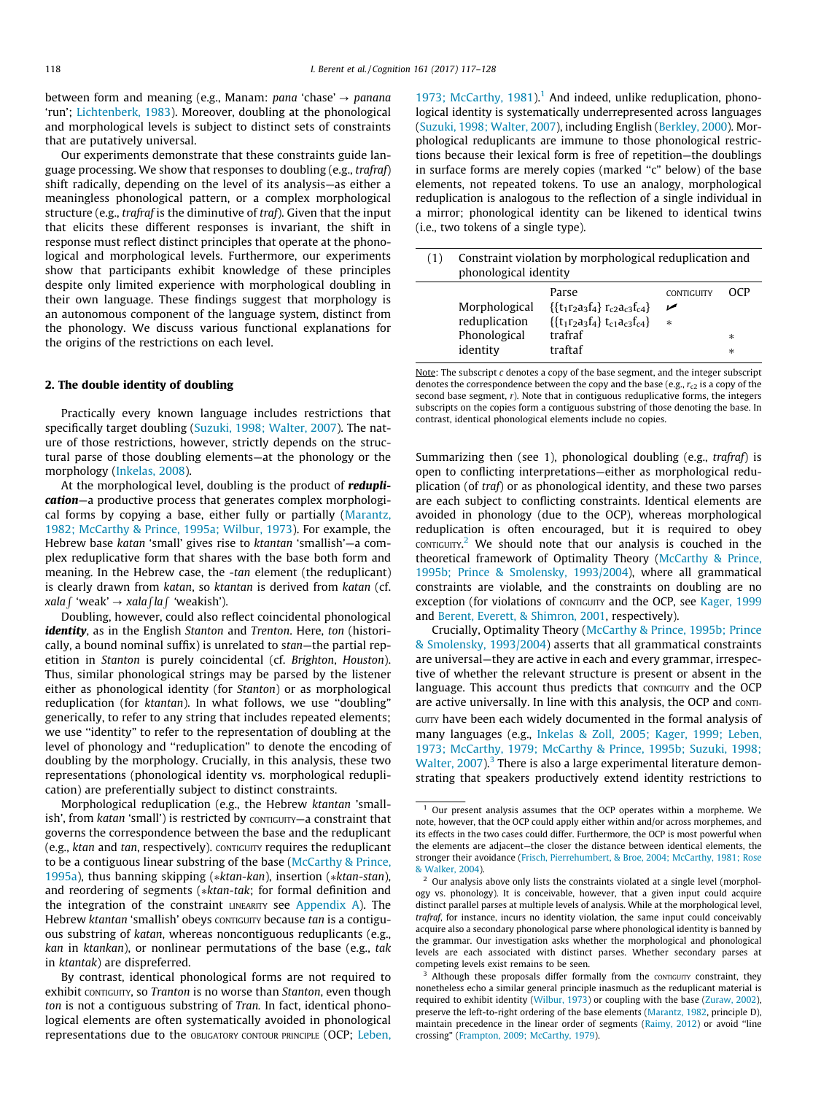<span id="page-1-0"></span>between form and meaning (e.g., Manam: pana 'chase'  $\rightarrow$  panana 'run'; [Lichtenberk, 1983](#page-11-0)). Moreover, doubling at the phonological and morphological levels is subject to distinct sets of constraints that are putatively universal.

Our experiments demonstrate that these constraints guide language processing. We show that responses to doubling (e.g., trafraf) shift radically, depending on the level of its analysis—as either a meaningless phonological pattern, or a complex morphological structure (e.g., trafraf is the diminutive of traf). Given that the input that elicits these different responses is invariant, the shift in response must reflect distinct principles that operate at the phonological and morphological levels. Furthermore, our experiments show that participants exhibit knowledge of these principles despite only limited experience with morphological doubling in their own language. These findings suggest that morphology is an autonomous component of the language system, distinct from the phonology. We discuss various functional explanations for the origins of the restrictions on each level.

#### 2. The double identity of doubling

Practically every known language includes restrictions that specifically target doubling [\(Suzuki, 1998; Walter, 2007](#page-11-0)). The nature of those restrictions, however, strictly depends on the structural parse of those doubling elements—at the phonology or the morphology [\(Inkelas, 2008](#page-11-0)).

At the morphological level, doubling is the product of *redupli*cation—a productive process that generates complex morphological forms by copying a base, either fully or partially [\(Marantz,](#page-11-0) [1982; McCarthy & Prince, 1995a; Wilbur, 1973](#page-11-0)). For example, the Hebrew base katan 'small' gives rise to ktantan 'smallish'—a complex reduplicative form that shares with the base both form and meaning. In the Hebrew case, the -tan element (the reduplicant) is clearly drawn from katan, so ktantan is derived from katan (cf. *xala∫ '*weak' → *xala∫la∫ '*weakish').

Doubling, however, could also reflect coincidental phonological identity, as in the English Stanton and Trenton. Here, ton (historically, a bound nominal suffix) is unrelated to stan—the partial repetition in Stanton is purely coincidental (cf. Brighton, Houston). Thus, similar phonological strings may be parsed by the listener either as phonological identity (for Stanton) or as morphological reduplication (for ktantan). In what follows, we use "doubling" generically, to refer to any string that includes repeated elements; we use ''identity" to refer to the representation of doubling at the level of phonology and ''reduplication" to denote the encoding of doubling by the morphology. Crucially, in this analysis, these two representations (phonological identity vs. morphological reduplication) are preferentially subject to distinct constraints.

Morphological reduplication (e.g., the Hebrew ktantan 'smallish', from katan 'small') is restricted by CONTIGUITY-a constraint that governs the correspondence between the base and the reduplicant (e.g., ktan and tan, respectively). CONTIGUITY requires the reduplicant to be a contiguous linear substring of the base ([McCarthy & Prince,](#page-11-0) [1995a](#page-11-0)), thus banning skipping (\*ktan-kan), insertion (\*ktan-stan), and reordering of segments (\*ktan-tak; for formal definition and the integration of the constraint LINEARITY see [Appendix A\)](#page-9-0). The Hebrew ktantan 'smallish' obeys CONTIGUITY because tan is a contiguous substring of katan, whereas noncontiguous reduplicants (e.g., kan in ktankan), or nonlinear permutations of the base (e.g., tak in ktantak) are dispreferred.

1973; McCarthy,  $1981$ ).<sup>1</sup> And indeed, unlike reduplication, phonological identity is systematically underrepresented across languages ([Suzuki, 1998; Walter, 2007](#page-11-0)), including English [\(Berkley, 2000\)](#page-11-0). Morphological reduplicants are immune to those phonological restrictions because their lexical form is free of repetition—the doublings in surface forms are merely copies (marked ''c" below) of the base elements, not repeated tokens. To use an analogy, morphological reduplication is analogous to the reflection of a single individual in a mirror; phonological identity can be likened to identical twins (i.e., two tokens of a single type).

| (1) | Constraint violation by morphological reduplication and<br>phonological identity |                                                                                                                           |                                    |                         |
|-----|----------------------------------------------------------------------------------|---------------------------------------------------------------------------------------------------------------------------|------------------------------------|-------------------------|
|     | Morphological<br>reduplication<br>Phonological<br>identity                       | Parse<br>$\{\{t_1r_2a_3f_4\}$ $r_{c2}a_{c3}f_{c4}\}\$<br>$\{\{t_1r_2a_3f_4\}\ t_{c1}a_{c3}f_{c4}\}$<br>trafraf<br>traftaf | <b>CONTIGUITY</b><br>مما<br>$\ast$ | JСP<br>$\ast$<br>$\ast$ |

Note: The subscript c denotes a copy of the base segment, and the integer subscript denotes the correspondence between the copy and the base (e.g.,  $r_c$ ) is a copy of the second base segment, r). Note that in contiguous reduplicative forms, the integers subscripts on the copies form a contiguous substring of those denoting the base. In contrast, identical phonological elements include no copies.

Summarizing then (see 1), phonological doubling (e.g., trafraf) is open to conflicting interpretations—either as morphological reduplication (of traf) or as phonological identity, and these two parses are each subject to conflicting constraints. Identical elements are avoided in phonology (due to the OCP), whereas morphological reduplication is often encouraged, but it is required to obey  $conright:$ <sup>2</sup> We should note that our analysis is couched in the theoretical framework of Optimality Theory [\(McCarthy & Prince,](#page-11-0) [1995b; Prince & Smolensky, 1993/2004\)](#page-11-0), where all grammatical constraints are violable, and the constraints on doubling are no exception (for violations of CONTIGUITY and the OCP, see [Kager, 1999](#page-11-0) and [Berent, Everett, & Shimron, 2001,](#page-10-0) respectively).

Crucially, Optimality Theory [\(McCarthy & Prince, 1995b; Prince](#page-11-0) [& Smolensky, 1993/2004](#page-11-0)) asserts that all grammatical constraints are universal—they are active in each and every grammar, irrespective of whether the relevant structure is present or absent in the language. This account thus predicts that CONTIGUITY and the OCP are active universally. In line with this analysis, the OCP and CONTI-GUITY have been each widely documented in the formal analysis of many languages (e.g., [Inkelas & Zoll, 2005; Kager, 1999; Leben,](#page-11-0) [1973; McCarthy, 1979; McCarthy & Prince, 1995b; Suzuki, 1998;](#page-11-0) Walter,  $2007$ ).<sup>3</sup> There is also a large experimental literature demonstrating that speakers productively extend identity restrictions to

By contrast, identical phonological forms are not required to exhibit CONTIGUITY, so Tranton is no worse than Stanton, even though ton is not a contiguous substring of Tran. In fact, identical phonological elements are often systematically avoided in phonological representations due to the OBLIGATORY CONTOUR PRINCIPLE (OCP; [Leben,](#page-11-0)

<sup>1</sup> Our present analysis assumes that the OCP operates within a morpheme. We note, however, that the OCP could apply either within and/or across morphemes, and its effects in the two cases could differ. Furthermore, the OCP is most powerful when the elements are adjacent—the closer the distance between identical elements, the stronger their avoidance [\(Frisch, Pierrehumbert, & Broe, 2004; McCarthy, 1981; Rose](#page-11-0) [& Walker, 2004\)](#page-11-0).

<sup>&</sup>lt;sup>2</sup> Our analysis above only lists the constraints violated at a single level (morphology vs. phonology). It is conceivable, however, that a given input could acquire distinct parallel parses at multiple levels of analysis. While at the morphological level, trafraf, for instance, incurs no identity violation, the same input could conceivably acquire also a secondary phonological parse where phonological identity is banned by the grammar. Our investigation asks whether the morphological and phonological levels are each associated with distinct parses. Whether secondary parses at competing levels exist remains to be seen.

<sup>&</sup>lt;sup>3</sup> Although these proposals differ formally from the CONTIGUITY constraint, they nonetheless echo a similar general principle inasmuch as the reduplicant material is required to exhibit identity [\(Wilbur, 1973\)](#page-11-0) or coupling with the base ([Zuraw, 2002\)](#page-11-0), preserve the left-to-right ordering of the base elements ([Marantz, 1982,](#page-11-0) principle D), maintain precedence in the linear order of segments [\(Raimy, 2012\)](#page-11-0) or avoid ''line crossing" [\(Frampton, 2009; McCarthy, 1979\)](#page-11-0).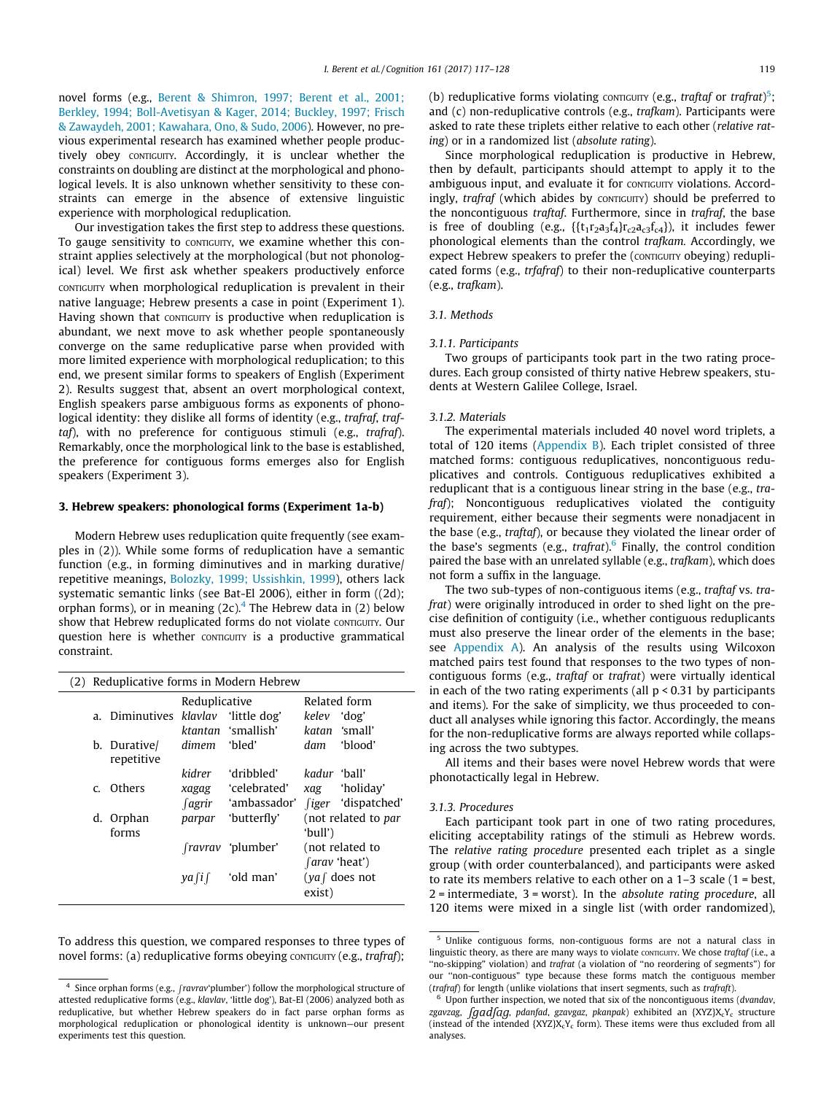novel forms (e.g., [Berent & Shimron, 1997; Berent et al., 2001;](#page-10-0) [Berkley, 1994; Boll-Avetisyan & Kager, 2014; Buckley, 1997; Frisch](#page-10-0) [& Zawaydeh, 2001; Kawahara, Ono, & Sudo, 2006\)](#page-10-0). However, no previous experimental research has examined whether people productively obey CONTIGUITY. Accordingly, it is unclear whether the constraints on doubling are distinct at the morphological and phonological levels. It is also unknown whether sensitivity to these constraints can emerge in the absence of extensive linguistic experience with morphological reduplication.

Our investigation takes the first step to address these questions. To gauge sensitivity to contiguity, we examine whether this constraint applies selectively at the morphological (but not phonological) level. We first ask whether speakers productively enforce CONTIGUITY when morphological reduplication is prevalent in their native language; Hebrew presents a case in point (Experiment 1). Having shown that contiguity is productive when reduplication is abundant, we next move to ask whether people spontaneously converge on the same reduplicative parse when provided with more limited experience with morphological reduplication; to this end, we present similar forms to speakers of English (Experiment 2). Results suggest that, absent an overt morphological context, English speakers parse ambiguous forms as exponents of phonological identity: they dislike all forms of identity (e.g., trafraf, traftaf), with no preference for contiguous stimuli (e.g., trafraf). Remarkably, once the morphological link to the base is established, the preference for contiguous forms emerges also for English speakers (Experiment 3).

#### 3. Hebrew speakers: phonological forms (Experiment 1a-b)

Modern Hebrew uses reduplication quite frequently (see examples in (2)). While some forms of reduplication have a semantic function (e.g., in forming diminutives and in marking durative/ repetitive meanings, [Bolozky, 1999; Ussishkin, 1999](#page-11-0)), others lack systematic semantic links (see Bat-El 2006), either in form ((2d); orphan forms), or in meaning  $(2c)$ .<sup>4</sup> The Hebrew data in  $(2)$  below show that Hebrew reduplicated forms do not violate CONTIGUITY. Our question here is whether CONTIGUITY is a productive grammatical constraint.

| (2) Reduplicative forms in Modern Hebrew |                                     |               |                           |                      |                     |
|------------------------------------------|-------------------------------------|---------------|---------------------------|----------------------|---------------------|
|                                          |                                     | Reduplicative |                           |                      | Related form        |
|                                          | a. Diminutives klavlav 'little dog' |               |                           | kelev                | 'dog'               |
|                                          |                                     |               | <i>ktantan</i> 'smallish' | katan                | ʻsmall'             |
|                                          | b. Durative/                        | dimem         | ʻbled'                    | dam                  | 'blood'             |
|                                          | repetitive                          |               |                           |                      |                     |
|                                          |                                     | kidrer        | 'dribbled'                | <i>kadur</i> 'ball'  |                     |
| $\mathsf{C}$                             | Others                              | xagag         | 'celebrated'              | xag                  | 'holiday'           |
|                                          |                                     | <i>fagrir</i> | 'ambassador'              |                      | figer 'dispatched'  |
|                                          | d. Orphan                           | parpar        | 'butterfly'               |                      | (not related to par |
|                                          | forms                               |               |                           | 'bull')              |                     |
|                                          |                                     |               | <i>fravrav</i> 'plumber'  |                      | (not related to     |
|                                          |                                     |               |                           | <i>(arav 'heat')</i> |                     |
|                                          |                                     | ya fi f       | 'old man'                 |                      | $(ya \int$ does not |
|                                          |                                     |               |                           | exist)               |                     |

To address this question, we compared responses to three types of novel forms: (a) reduplicative forms obeying configurty (e.g., trafraf);

(b) reduplicative forms violating contriguity (e.g., traftaf or trafrat)<sup>5</sup>; and (c) non-reduplicative controls (e.g., trafkam). Participants were asked to rate these triplets either relative to each other (relative rating) or in a randomized list (absolute rating).

Since morphological reduplication is productive in Hebrew, then by default, participants should attempt to apply it to the ambiguous input, and evaluate it for CONTIGUITY violations. Accordingly, trafraf (which abides by CONTIGUITY) should be preferred to the noncontiguous traftaf. Furthermore, since in trafraf, the base is free of doubling (e.g.,  $\{\{t_1r_2a_3f_4\}r_{c2}a_{c3}f_{c4}\}$ ), it includes fewer phonological elements than the control trafkam. Accordingly, we expect Hebrew speakers to prefer the (CONTIGUITY obeying) reduplicated forms (e.g., trfafraf) to their non-reduplicative counterparts (e.g., trafkam).

#### 3.1. Methods

#### 3.1.1. Participants

Two groups of participants took part in the two rating procedures. Each group consisted of thirty native Hebrew speakers, students at Western Galilee College, Israel.

#### 3.1.2. Materials

The experimental materials included 40 novel word triplets, a total of 120 items ([Appendix B\)](#page-9-0). Each triplet consisted of three matched forms: contiguous reduplicatives, noncontiguous reduplicatives and controls. Contiguous reduplicatives exhibited a reduplicant that is a contiguous linear string in the base (e.g., trafraf); Noncontiguous reduplicatives violated the contiguity requirement, either because their segments were nonadjacent in the base (e.g., traftaf), or because they violated the linear order of the base's segments (e.g., trafrat). Finally, the control condition paired the base with an unrelated syllable (e.g., trafkam), which does not form a suffix in the language.

The two sub-types of non-contiguous items (e.g., traftaf vs. trafrat) were originally introduced in order to shed light on the precise definition of contiguity (i.e., whether contiguous reduplicants must also preserve the linear order of the elements in the base; see [Appendix A](#page-9-0)). An analysis of the results using Wilcoxon matched pairs test found that responses to the two types of noncontiguous forms (e.g., traftaf or trafrat) were virtually identical in each of the two rating experiments (all  $p < 0.31$  by participants and items). For the sake of simplicity, we thus proceeded to conduct all analyses while ignoring this factor. Accordingly, the means for the non-reduplicative forms are always reported while collapsing across the two subtypes.

All items and their bases were novel Hebrew words that were phonotactically legal in Hebrew.

#### 3.1.3. Procedures

Each participant took part in one of two rating procedures, eliciting acceptability ratings of the stimuli as Hebrew words. The relative rating procedure presented each triplet as a single group (with order counterbalanced), and participants were asked to rate its members relative to each other on a 1–3 scale (1 = best,  $2$  = intermediate,  $3$  = worst). In the *absolute rating procedure*, all 120 items were mixed in a single list (with order randomized),

 $4$  Since orphan forms (e.g.,  $\int$ ravrav'plumber') follow the morphological structure of attested reduplicative forms (e.g., klavlav, 'little dog'), Bat-El (2006) analyzed both as reduplicative, but whether Hebrew speakers do in fact parse orphan forms as morphological reduplication or phonological identity is unknown—our present experiments test this question.

<sup>5</sup> Unlike contiguous forms, non-contiguous forms are not a natural class in linguistic theory, as there are many ways to violate configury. We chose traftaf (i.e., a ''no-skipping" violation) and trafrat (a violation of ''no reordering of segments") for our ''non-contiguous" type because these forms match the contiguous member (trafraf) for length (unlike violations that insert segments, such as trafraft).

 $6\sigma$  Upon further inspection, we noted that six of the noncontiguous items (*dvanday*, zgavzag,  $\int \frac{q}{a}$ , pdanfad, gzavgaz, pkanpak) exhibited an {XYZ}X<sub>c</sub>Y<sub>c</sub> structure (instead of the intended  ${XYZ}X_cY_c$  form). These items were thus excluded from all analyses.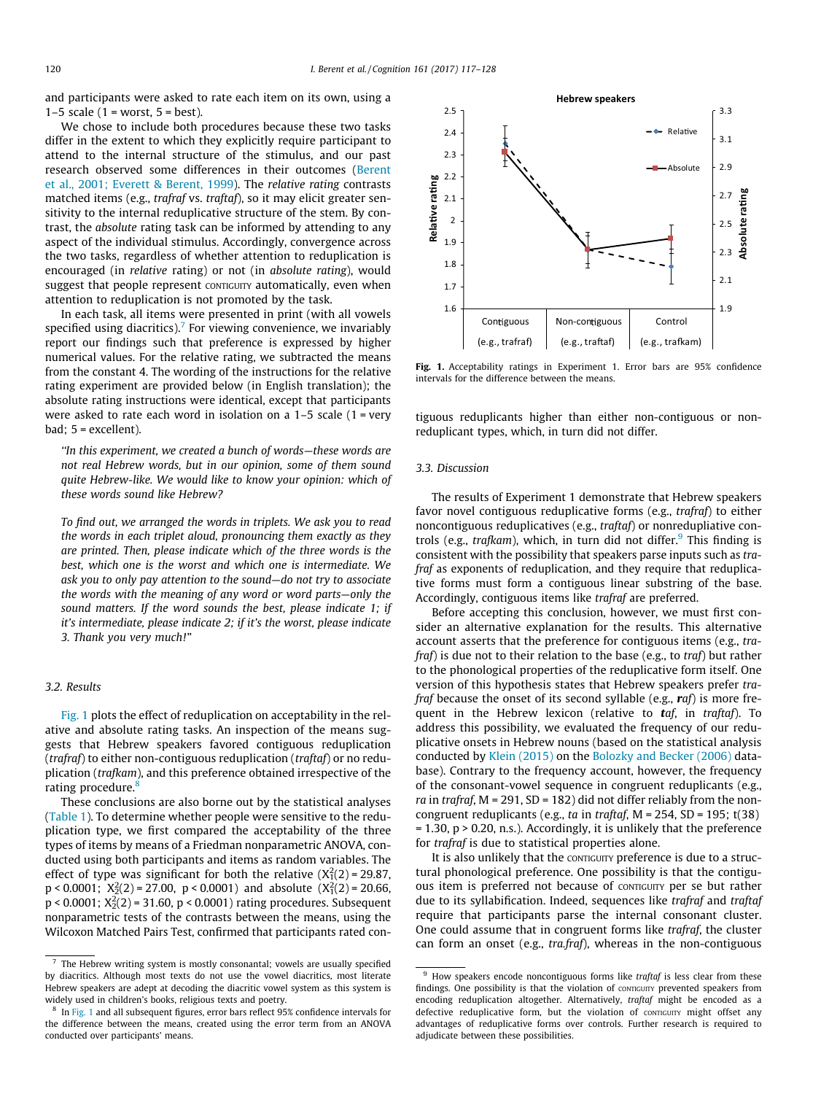and participants were asked to rate each item on its own, using a 1–5 scale (1 = worst,  $5 = best$ ).

We chose to include both procedures because these two tasks differ in the extent to which they explicitly require participant to attend to the internal structure of the stimulus, and our past research observed some differences in their outcomes ([Berent](#page-10-0) [et al., 2001; Everett & Berent, 1999](#page-10-0)). The relative rating contrasts matched items (e.g., trafraf vs. traftaf), so it may elicit greater sensitivity to the internal reduplicative structure of the stem. By contrast, the absolute rating task can be informed by attending to any aspect of the individual stimulus. Accordingly, convergence across the two tasks, regardless of whether attention to reduplication is encouraged (in relative rating) or not (in absolute rating), would suggest that people represent contiguity automatically, even when attention to reduplication is not promoted by the task.

In each task, all items were presented in print (with all vowels specified using diacritics).<sup>7</sup> For viewing convenience, we invariably report our findings such that preference is expressed by higher numerical values. For the relative rating, we subtracted the means from the constant 4. The wording of the instructions for the relative rating experiment are provided below (in English translation); the absolute rating instructions were identical, except that participants were asked to rate each word in isolation on a  $1-5$  scale  $(1 = \text{very})$ bad; 5 = excellent).

''In this experiment, we created a bunch of words—these words are not real Hebrew words, but in our opinion, some of them sound quite Hebrew-like. We would like to know your opinion: which of these words sound like Hebrew?

To find out, we arranged the words in triplets. We ask you to read the words in each triplet aloud, pronouncing them exactly as they are printed. Then, please indicate which of the three words is the best, which one is the worst and which one is intermediate. We ask you to only pay attention to the sound—do not try to associate the words with the meaning of any word or word parts—only the sound matters. If the word sounds the best, please indicate 1; if it's intermediate, please indicate 2; if it's the worst, please indicate 3. Thank you very much!"

#### 3.2. Results

Fig. 1 plots the effect of reduplication on acceptability in the relative and absolute rating tasks. An inspection of the means suggests that Hebrew speakers favored contiguous reduplication (trafraf) to either non-contiguous reduplication (traftaf) or no reduplication (trafkam), and this preference obtained irrespective of the rating procedure. $\frac{8}{3}$ 

These conclusions are also borne out by the statistical analyses ([Table 1\)](#page-4-0). To determine whether people were sensitive to the reduplication type, we first compared the acceptability of the three types of items by means of a Friedman nonparametric ANOVA, conducted using both participants and items as random variables. The effect of type was significant for both the relative  $(X_1^2(2) = 29.87,$  $p < 0.0001$ ;  $X_2^2(2) = 27.00$ ,  $p < 0.0001$ ) and absolute  $(X_1^2(2) = 20.66$ ,  $p < 0.0001$ ;  $X_2^2(2)$  = 31.60,  $p < 0.0001$ ) rating procedures. Subsequent nonparametric tests of the contrasts between the means, using the Wilcoxon Matched Pairs Test, confirmed that participants rated con-



Fig. 1. Acceptability ratings in Experiment 1. Error bars are 95% confidence intervals for the difference between the means.

tiguous reduplicants higher than either non-contiguous or nonreduplicant types, which, in turn did not differ.

#### 3.3. Discussion

The results of Experiment 1 demonstrate that Hebrew speakers favor novel contiguous reduplicative forms (e.g., trafraf) to either noncontiguous reduplicatives (e.g., traftaf) or nonredupliative controls (e.g., *trafkam*), which, in turn did not differ.<sup>9</sup> This finding is consistent with the possibility that speakers parse inputs such as trafraf as exponents of reduplication, and they require that reduplicative forms must form a contiguous linear substring of the base. Accordingly, contiguous items like trafraf are preferred.

Before accepting this conclusion, however, we must first consider an alternative explanation for the results. This alternative account asserts that the preference for contiguous items (e.g., trafraf) is due not to their relation to the base (e.g., to traf) but rather to the phonological properties of the reduplicative form itself. One version of this hypothesis states that Hebrew speakers prefer trafraf because the onset of its second syllable (e.g.,  $\mathbf{r}$ af) is more frequent in the Hebrew lexicon (relative to taf, in traftaf). To address this possibility, we evaluated the frequency of our reduplicative onsets in Hebrew nouns (based on the statistical analysis conducted by [Klein \(2015\)](#page-11-0) on the [Bolozky and Becker \(2006\)](#page-11-0) database). Contrary to the frequency account, however, the frequency of the consonant-vowel sequence in congruent reduplicants (e.g., ra in trafraf,  $M = 291$ ,  $SD = 182$ ) did not differ reliably from the noncongruent reduplicants (e.g., ta in traftaf, M = 254, SD = 195; t(38) = 1.30, p > 0.20, n.s.). Accordingly, it is unlikely that the preference for trafraf is due to statistical properties alone.

It is also unlikely that the CONTIGUITY preference is due to a structural phonological preference. One possibility is that the contiguous item is preferred not because of CONTIGUITY per se but rather due to its syllabification. Indeed, sequences like trafraf and traftaf require that participants parse the internal consonant cluster. One could assume that in congruent forms like trafraf, the cluster can form an onset (e.g., tra.fraf), whereas in the non-contiguous

<sup>7</sup> The Hebrew writing system is mostly consonantal; vowels are usually specified by diacritics. Although most texts do not use the vowel diacritics, most literate Hebrew speakers are adept at decoding the diacritic vowel system as this system is widely used in children's books, religious texts and poetry.

<sup>8</sup> In Fig. 1 and all subsequent figures, error bars reflect 95% confidence intervals for the difference between the means, created using the error term from an ANOVA conducted over participants' means.

 $9$  How speakers encode noncontiguous forms like traftaf is less clear from these findings. One possibility is that the violation of connourry prevented speakers from encoding reduplication altogether. Alternatively, traftaf might be encoded as a defective reduplicative form, but the violation of CONTIGUITY might offset any advantages of reduplicative forms over controls. Further research is required to adjudicate between these possibilities.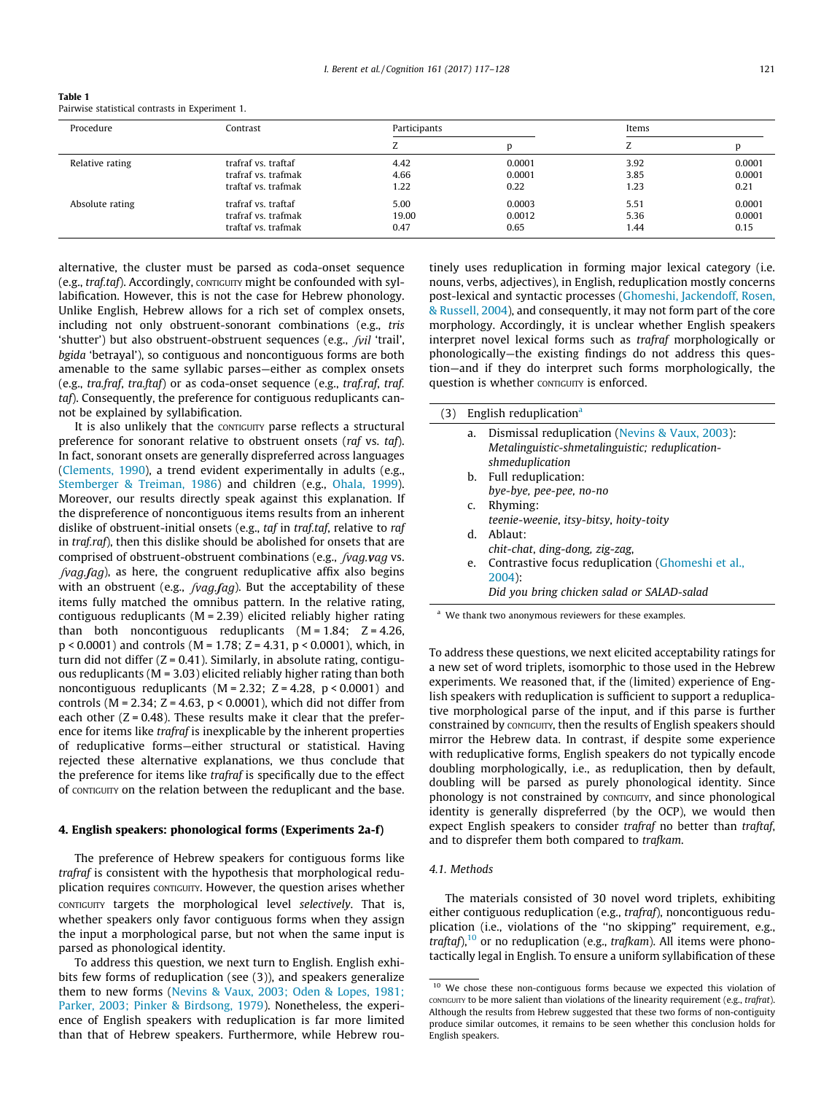| Procedure       | Contrast            | Participants |        | Items |        |
|-----------------|---------------------|--------------|--------|-------|--------|
|                 |                     |              | n      |       |        |
| Relative rating | trafraf vs. traftaf | 4.42         | 0.0001 | 3.92  | 0.0001 |
|                 | trafraf vs. trafmak | 4.66         | 0.0001 | 3.85  | 0.0001 |
|                 | traftaf vs. trafmak | 1.22         | 0.22   | 1.23  | 0.21   |
| Absolute rating | trafraf vs. traftaf | 5.00         | 0.0003 | 5.51  | 0.0001 |
|                 | trafraf vs. trafmak | 19.00        | 0.0012 | 5.36  | 0.0001 |
|                 | traftaf vs. trafmak | 0.47         | 0.65   | 1.44  | 0.15   |

<span id="page-4-0"></span>

| Table 1 |  |                                                 |  |
|---------|--|-------------------------------------------------|--|
|         |  | Pairwise statistical contrasts in Experiment 1. |  |

alternative, the cluster must be parsed as coda-onset sequence (e.g., traf.taf). Accordingly, CONTIGUITY might be confounded with syllabification. However, this is not the case for Hebrew phonology. Unlike English, Hebrew allows for a rich set of complex onsets, including not only obstruent-sonorant combinations (e.g., tris 'shutter') but also obstruent-obstruent sequences (e.g., /vil 'trail', bgida 'betrayal'), so contiguous and noncontiguous forms are both amenable to the same syllabic parses—either as complex onsets (e.g., tra.fraf, tra.ftaf) or as coda-onset sequence (e.g., traf.raf, traf. taf). Consequently, the preference for contiguous reduplicants cannot be explained by syllabification.

It is also unlikely that the CONTIGUITY parse reflects a structural preference for sonorant relative to obstruent onsets (raf vs. taf). In fact, sonorant onsets are generally dispreferred across languages ([Clements, 1990](#page-11-0)), a trend evident experimentally in adults (e.g., [Stemberger & Treiman, 1986\)](#page-11-0) and children (e.g., [Ohala, 1999\)](#page-11-0). Moreover, our results directly speak against this explanation. If the dispreference of noncontiguous items results from an inherent dislike of obstruent-initial onsets (e.g., taf in traf.taf, relative to raf in traf.raf), then this dislike should be abolished for onsets that are comprised of obstruent-obstruent combinations (e.g.,  $\beta$ vag vs.  $\beta$  /vag,  $\beta$  as here, the congruent reduplicative affix also begins with an obstruent (e.g.,  $\int \gamma$ ag,  $\int$ ag). But the acceptability of these items fully matched the omnibus pattern. In the relative rating, contiguous reduplicants (M = 2.39) elicited reliably higher rating than both noncontiguous reduplicants  $(M = 1.84; Z = 4.26,$  $p < 0.0001$ ) and controls (M = 1.78; Z = 4.31,  $p < 0.0001$ ), which, in turn did not differ  $(Z = 0.41)$ . Similarly, in absolute rating, contiguous reduplicants (M = 3.03) elicited reliably higher rating than both noncontiguous reduplicants ( $M = 2.32$ ;  $Z = 4.28$ ,  $p < 0.0001$ ) and controls ( $M = 2.34$ ;  $Z = 4.63$ ,  $p < 0.0001$ ), which did not differ from each other  $(Z = 0.48)$ . These results make it clear that the preference for items like trafraf is inexplicable by the inherent properties of reduplicative forms—either structural or statistical. Having rejected these alternative explanations, we thus conclude that the preference for items like trafraf is specifically due to the effect of CONTIGUITY on the relation between the reduplicant and the base.

#### 4. English speakers: phonological forms (Experiments 2a-f)

The preference of Hebrew speakers for contiguous forms like trafraf is consistent with the hypothesis that morphological reduplication requires CONTIGUITY. However, the question arises whether CONTIGUITY targets the morphological level selectively. That is, whether speakers only favor contiguous forms when they assign the input a morphological parse, but not when the same input is parsed as phonological identity.

To address this question, we next turn to English. English exhibits few forms of reduplication (see (3)), and speakers generalize them to new forms ([Nevins & Vaux, 2003; Oden & Lopes, 1981;](#page-11-0) [Parker, 2003; Pinker & Birdsong, 1979](#page-11-0)). Nonetheless, the experience of English speakers with reduplication is far more limited than that of Hebrew speakers. Furthermore, while Hebrew routinely uses reduplication in forming major lexical category (i.e. nouns, verbs, adjectives), in English, reduplication mostly concerns post-lexical and syntactic processes [\(Ghomeshi, Jackendoff, Rosen,](#page-11-0) [& Russell, 2004](#page-11-0)), and consequently, it may not form part of the core morphology. Accordingly, it is unclear whether English speakers interpret novel lexical forms such as trafraf morphologically or phonologically—the existing findings do not address this question—and if they do interpret such forms morphologically, the question is whether CONTIGUITY is enforced.

| (3) |    | English reduplication <sup>a</sup>                                                                                   |
|-----|----|----------------------------------------------------------------------------------------------------------------------|
|     | a. | Dismissal reduplication (Nevins & Vaux, 2003):<br>Metalinguistic-shmetalinguistic; reduplication-<br>shmeduplication |
|     |    | b. Full reduplication:<br>bye-bye, pee-pee, no-no                                                                    |
|     | C. | Rhyming:<br>teenie-weenie, itsy-bitsy, hoity-toity                                                                   |
|     | d. | Ablaut:<br>chit-chat, ding-dong, zig-zag,                                                                            |
|     | e. | Contrastive focus reduplication (Ghomeshi et al.,<br>$2004$ :<br>Did you bring chicken salad or SALAD-salad          |
|     |    |                                                                                                                      |

<sup>a</sup> We thank two anonymous reviewers for these examples.

To address these questions, we next elicited acceptability ratings for a new set of word triplets, isomorphic to those used in the Hebrew experiments. We reasoned that, if the (limited) experience of English speakers with reduplication is sufficient to support a reduplicative morphological parse of the input, and if this parse is further constrained by CONTIGUITY, then the results of English speakers should mirror the Hebrew data. In contrast, if despite some experience with reduplicative forms, English speakers do not typically encode doubling morphologically, i.e., as reduplication, then by default, doubling will be parsed as purely phonological identity. Since phonology is not constrained by CONTIGUITY, and since phonological identity is generally dispreferred (by the OCP), we would then expect English speakers to consider trafraf no better than traftaf, and to disprefer them both compared to trafkam.

# 4.1. Methods

The materials consisted of 30 novel word triplets, exhibiting either contiguous reduplication (e.g., trafraf), noncontiguous reduplication (i.e., violations of the ''no skipping" requirement, e.g., traftaf),<sup>10</sup> or no reduplication (e.g., trafkam). All items were phonotactically legal in English. To ensure a uniform syllabification of these

<sup>&</sup>lt;sup>10</sup> We chose these non-contiguous forms because we expected this violation of CONTIGUITY to be more salient than violations of the linearity requirement (e.g., trafrat). Although the results from Hebrew suggested that these two forms of non-contiguity produce similar outcomes, it remains to be seen whether this conclusion holds for English speakers.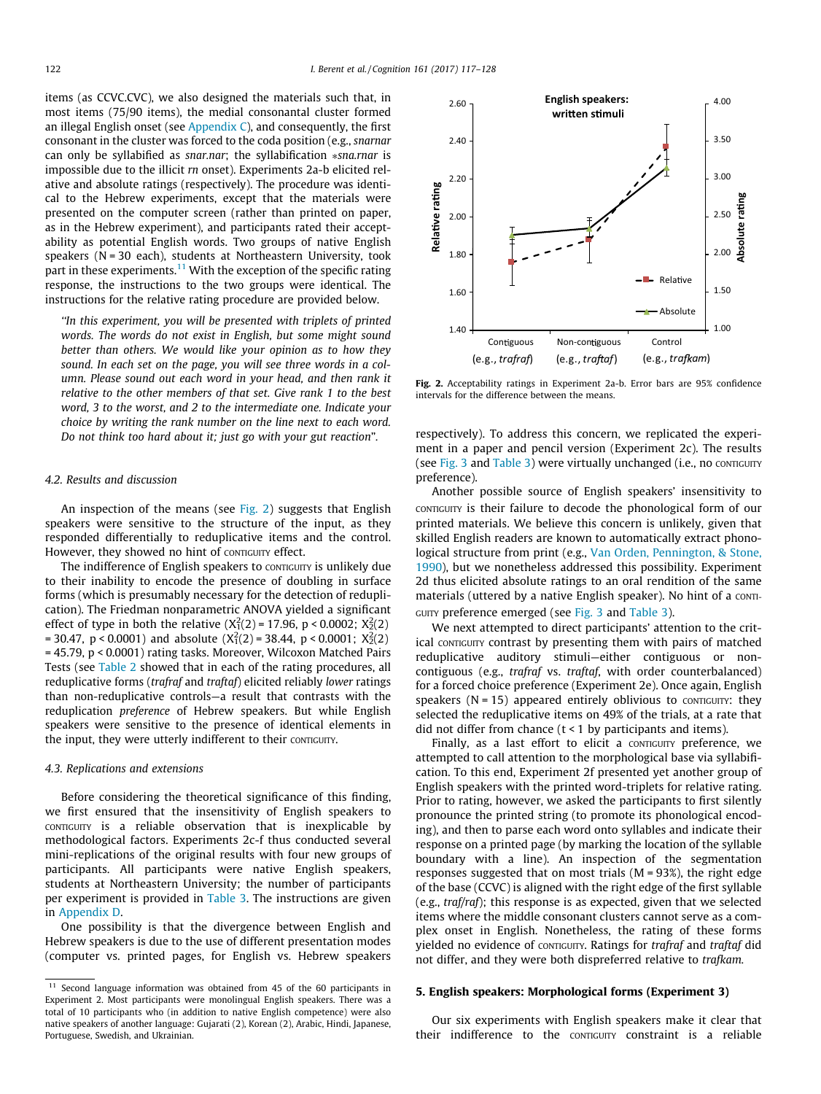items (as CCVC.CVC), we also designed the materials such that, in most items (75/90 items), the medial consonantal cluster formed an illegal English onset (see [Appendix C\)](#page-10-0), and consequently, the first consonant in the cluster was forced to the coda position (e.g., snarnar can only be syllabified as snar.nar; the syllabification  $*$ sna.rnar is impossible due to the illicit rn onset). Experiments 2a-b elicited relative and absolute ratings (respectively). The procedure was identical to the Hebrew experiments, except that the materials were presented on the computer screen (rather than printed on paper, as in the Hebrew experiment), and participants rated their acceptability as potential English words. Two groups of native English speakers (N = 30 each), students at Northeastern University, took part in these experiments.<sup>11</sup> With the exception of the specific rating response, the instructions to the two groups were identical. The instructions for the relative rating procedure are provided below.

''In this experiment, you will be presented with triplets of printed words. The words do not exist in English, but some might sound better than others. We would like your opinion as to how they sound. In each set on the page, you will see three words in a column. Please sound out each word in your head, and then rank it relative to the other members of that set. Give rank 1 to the best word, 3 to the worst, and 2 to the intermediate one. Indicate your choice by writing the rank number on the line next to each word. Do not think too hard about it; just go with your gut reaction".

#### 4.2. Results and discussion

An inspection of the means (see Fig. 2) suggests that English speakers were sensitive to the structure of the input, as they responded differentially to reduplicative items and the control. However, they showed no hint of CONTIGUITY effect.

The indifference of English speakers to CONTIGUITY is unlikely due to their inability to encode the presence of doubling in surface forms (which is presumably necessary for the detection of reduplication). The Friedman nonparametric ANOVA yielded a significant effect of type in both the relative ( $X_1^2(2)$  = 17.96, p < 0.0002;  $X_2^2(2)$ = 30.47, p < 0.0001) and absolute  $(X_1^2(2)$  = 38.44, p < 0.0001;  $X_2^2(2)$ = 45.79, p < 0.0001) rating tasks. Moreover, Wilcoxon Matched Pairs Tests (see [Table 2](#page-6-0) showed that in each of the rating procedures, all reduplicative forms (trafraf and traftaf) elicited reliably lower ratings than non-reduplicative controls—a result that contrasts with the reduplication preference of Hebrew speakers. But while English speakers were sensitive to the presence of identical elements in the input, they were utterly indifferent to their contiguity.

#### 4.3. Replications and extensions

Before considering the theoretical significance of this finding, we first ensured that the insensitivity of English speakers to CONTIGUITY is a reliable observation that is inexplicable by methodological factors. Experiments 2c-f thus conducted several mini-replications of the original results with four new groups of participants. All participants were native English speakers, students at Northeastern University; the number of participants per experiment is provided in [Table 3.](#page-6-0) The instructions are given in [Appendix D](#page-10-0).

One possibility is that the divergence between English and Hebrew speakers is due to the use of different presentation modes (computer vs. printed pages, for English vs. Hebrew speakers



Fig. 2. Acceptability ratings in Experiment 2a-b. Error bars are 95% confidence intervals for the difference between the means.

respectively). To address this concern, we replicated the experiment in a paper and pencil version (Experiment 2c). The results (see [Fig. 3](#page-6-0) and [Table 3](#page-6-0)) were virtually unchanged (i.e., no CONTIGUITY preference).

Another possible source of English speakers' insensitivity to CONTIGUITY is their failure to decode the phonological form of our printed materials. We believe this concern is unlikely, given that skilled English readers are known to automatically extract phonological structure from print (e.g., [Van Orden, Pennington, & Stone,](#page-11-0) [1990\)](#page-11-0), but we nonetheless addressed this possibility. Experiment 2d thus elicited absolute ratings to an oral rendition of the same materials (uttered by a native English speaker). No hint of a CONTI-GUITY preference emerged (see [Fig. 3](#page-6-0) and [Table 3\)](#page-6-0).

We next attempted to direct participants' attention to the critical CONTIGUITY contrast by presenting them with pairs of matched reduplicative auditory stimuli—either contiguous or noncontiguous (e.g., trafraf vs. traftaf, with order counterbalanced) for a forced choice preference (Experiment 2e). Once again, English speakers  $(N = 15)$  appeared entirely oblivious to contriguity: they selected the reduplicative items on 49% of the trials, at a rate that did not differ from chance  $(t < 1$  by participants and items).

Finally, as a last effort to elicit a CONTIGUITY preference, we attempted to call attention to the morphological base via syllabification. To this end, Experiment 2f presented yet another group of English speakers with the printed word-triplets for relative rating. Prior to rating, however, we asked the participants to first silently pronounce the printed string (to promote its phonological encoding), and then to parse each word onto syllables and indicate their response on a printed page (by marking the location of the syllable boundary with a line). An inspection of the segmentation responses suggested that on most trials (M = 93%), the right edge of the base (CCVC) is aligned with the right edge of the first syllable (e.g., traf/raf); this response is as expected, given that we selected items where the middle consonant clusters cannot serve as a complex onset in English. Nonetheless, the rating of these forms yielded no evidence of CONTIGUITY. Ratings for trafraf and traftaf did not differ, and they were both dispreferred relative to trafkam.

# 5. English speakers: Morphological forms (Experiment 3)

Our six experiments with English speakers make it clear that their indifference to the CONTIGUITY constraint is a reliable

 $11$  Second language information was obtained from 45 of the 60 participants in Experiment 2. Most participants were monolingual English speakers. There was a total of 10 participants who (in addition to native English competence) were also native speakers of another language: Gujarati (2), Korean (2), Arabic, Hindi, Japanese, Portuguese, Swedish, and Ukrainian.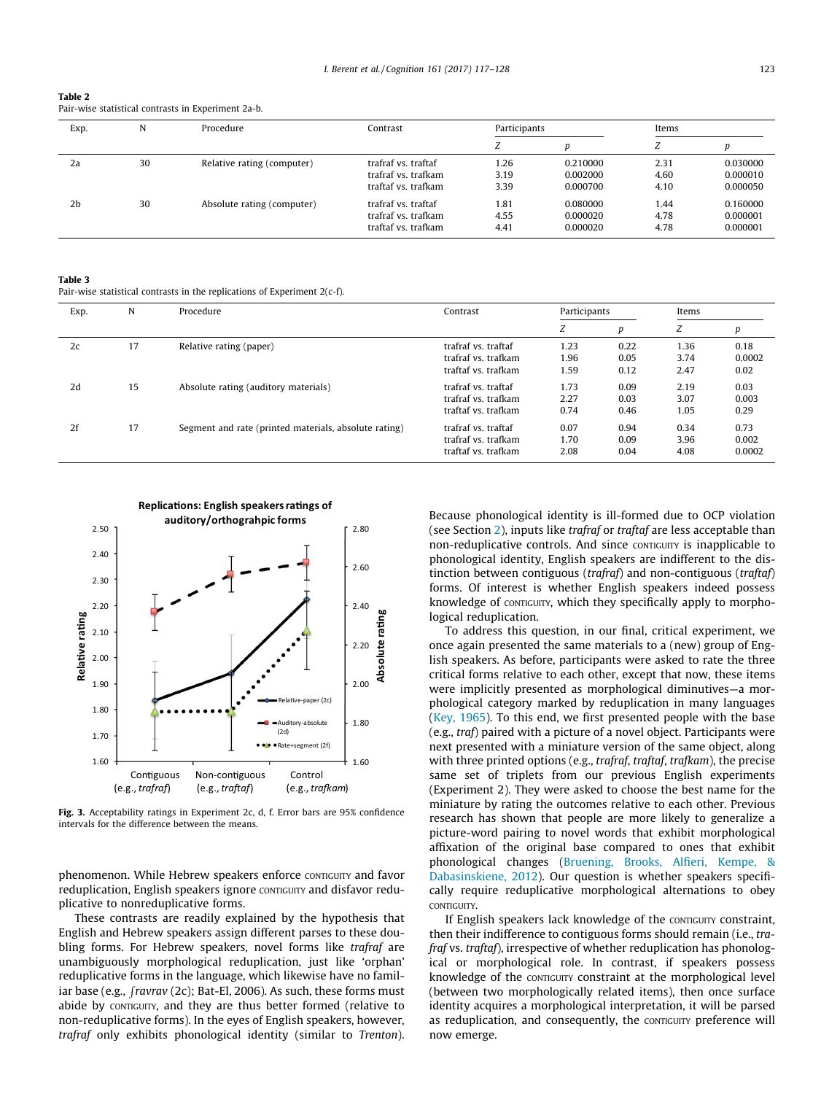<span id="page-6-0"></span>

| Table 2                                             |  |  |
|-----------------------------------------------------|--|--|
| Pair-wise statistical contrasts in Experiment 2a-b. |  |  |

| Exp.           | N  | Procedure                  | Contrast                                                          | Participants<br>Items |                                  |                      |                                  |
|----------------|----|----------------------------|-------------------------------------------------------------------|-----------------------|----------------------------------|----------------------|----------------------------------|
|                |    |                            |                                                                   |                       |                                  | ▵                    | D                                |
| 2a             | 30 | Relative rating (computer) | trafraf vs. traftaf<br>trafraf vs. trafkam<br>traftaf vs. trafkam | 1.26<br>3.19<br>3.39  | 0.210000<br>0.002000<br>0.000700 | 2.31<br>4.60<br>4.10 | 0.030000<br>0.000010<br>0.000050 |
| 2 <sub>b</sub> | 30 | Absolute rating (computer) | trafraf vs. traftaf<br>trafraf vs. trafkam<br>traftaf vs. trafkam | 1.81<br>4.55<br>4.41  | 0.080000<br>0.000020<br>0.000020 | . 44<br>4.78<br>4.78 | 0.160000<br>0.000001<br>0.000001 |

Table 3

Pair-wise statistical contrasts in the replications of Experiment 2(c-f).

| Exp. | N  | Procedure                                             | Contrast            | Participants |      | Items |        |
|------|----|-------------------------------------------------------|---------------------|--------------|------|-------|--------|
|      |    |                                                       |                     | Ζ            | D    | Ζ     |        |
| 2c   | 17 | Relative rating (paper)                               | trafraf vs. traftaf | 1.23         | 0.22 | 1.36  | 0.18   |
|      |    |                                                       | trafraf vs. trafkam | 1.96         | 0.05 | 3.74  | 0.0002 |
|      |    |                                                       | traftaf vs. trafkam | 1.59         | 0.12 | 2.47  | 0.02   |
| 2d   | 15 | Absolute rating (auditory materials)                  | trafraf vs. traftaf | 1.73         | 0.09 | 2.19  | 0.03   |
|      |    |                                                       | trafraf vs. trafkam | 2.27         | 0.03 | 3.07  | 0.003  |
|      |    |                                                       | traftaf vs. trafkam | 0.74         | 0.46 | 1.05  | 0.29   |
| 2f   | 17 | Segment and rate (printed materials, absolute rating) | trafraf vs. traftaf | 0.07         | 0.94 | 0.34  | 0.73   |
|      |    |                                                       | trafraf vs. trafkam | 1.70         | 0.09 | 3.96  | 0.002  |
|      |    |                                                       | traftaf vs. trafkam | 2.08         | 0.04 | 4.08  | 0.0002 |





Fig. 3. Acceptability ratings in Experiment 2c, d, f. Error bars are 95% confidence intervals for the difference between the means.

phenomenon. While Hebrew speakers enforce CONTIGUITY and favor reduplication, English speakers ignore contiguity and disfavor reduplicative to nonreduplicative forms.

These contrasts are readily explained by the hypothesis that English and Hebrew speakers assign different parses to these doubling forms. For Hebrew speakers, novel forms like trafraf are unambiguously morphological reduplication, just like 'orphan' reduplicative forms in the language, which likewise have no familiar base (e.g., *[ravrav* (2c); Bat-El, 2006). As such, these forms must abide by CONTIGUITY, and they are thus better formed (relative to non-reduplicative forms). In the eyes of English speakers, however, trafraf only exhibits phonological identity (similar to Trenton). Because phonological identity is ill-formed due to OCP violation (see Section [2](#page-1-0)), inputs like trafraf or traftaf are less acceptable than non-reduplicative controls. And since controurry is inapplicable to phonological identity, English speakers are indifferent to the distinction between contiguous (trafraf) and non-contiguous (traftaf) forms. Of interest is whether English speakers indeed possess knowledge of CONTIGUITY, which they specifically apply to morphological reduplication.

To address this question, in our final, critical experiment, we once again presented the same materials to a (new) group of English speakers. As before, participants were asked to rate the three critical forms relative to each other, except that now, these items were implicitly presented as morphological diminutives—a morphological category marked by reduplication in many languages ([Key, 1965\)](#page-11-0). To this end, we first presented people with the base (e.g., traf) paired with a picture of a novel object. Participants were next presented with a miniature version of the same object, along with three printed options (e.g., trafraf, traftaf, trafkam), the precise same set of triplets from our previous English experiments (Experiment 2). They were asked to choose the best name for the miniature by rating the outcomes relative to each other. Previous research has shown that people are more likely to generalize a picture-word pairing to novel words that exhibit morphological affixation of the original base compared to ones that exhibit phonological changes [\(Bruening, Brooks, Alfieri, Kempe, &](#page-11-0) [Dabasinskiene, 2012](#page-11-0)). Our question is whether speakers specifically require reduplicative morphological alternations to obey CONTIGUITY.

If English speakers lack knowledge of the CONTIGUITY CONSTRAINT, then their indifference to contiguous forms should remain (i.e., trafraf vs. traftaf), irrespective of whether reduplication has phonological or morphological role. In contrast, if speakers possess knowledge of the CONTIGUITY constraint at the morphological level (between two morphologically related items), then once surface identity acquires a morphological interpretation, it will be parsed as reduplication, and consequently, the CONTIGUITY preference will now emerge.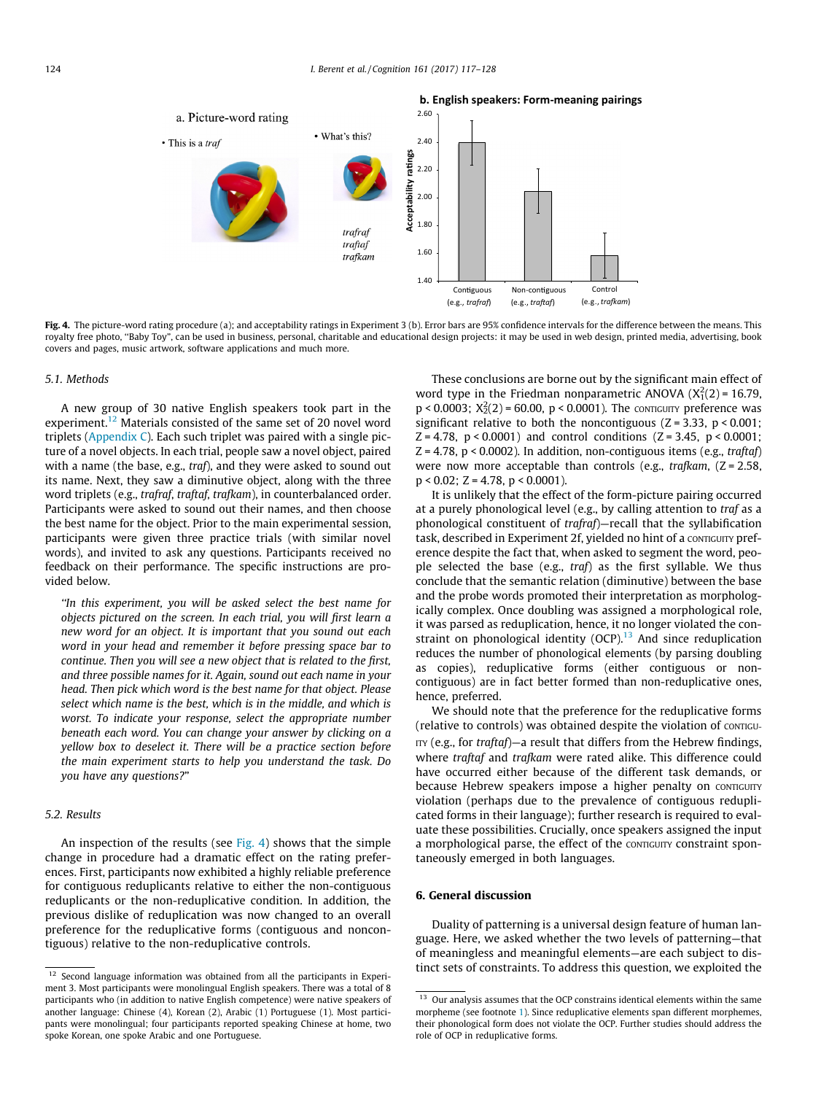

Fig. 4. The picture-word rating procedure (a); and acceptability ratings in Experiment 3 (b). Error bars are 95% confidence intervals for the difference between the means. This royalty free photo, ''Baby Toy", can be used in business, personal, charitable and educational design projects: it may be used in web design, printed media, advertising, book covers and pages, music artwork, software applications and much more.

#### 5.1. Methods

A new group of 30 native English speakers took part in the experiment.<sup>12</sup> Materials consisted of the same set of 20 novel word triplets [\(Appendix C\)](#page-10-0). Each such triplet was paired with a single picture of a novel objects. In each trial, people saw a novel object, paired with a name (the base, e.g., traf), and they were asked to sound out its name. Next, they saw a diminutive object, along with the three word triplets (e.g., trafraf, traftaf, trafkam), in counterbalanced order. Participants were asked to sound out their names, and then choose the best name for the object. Prior to the main experimental session, participants were given three practice trials (with similar novel words), and invited to ask any questions. Participants received no feedback on their performance. The specific instructions are provided below.

''In this experiment, you will be asked select the best name for objects pictured on the screen. In each trial, you will first learn a new word for an object. It is important that you sound out each word in your head and remember it before pressing space bar to continue. Then you will see a new object that is related to the first, and three possible names for it. Again, sound out each name in your head. Then pick which word is the best name for that object. Please select which name is the best, which is in the middle, and which is worst. To indicate your response, select the appropriate number beneath each word. You can change your answer by clicking on a yellow box to deselect it. There will be a practice section before the main experiment starts to help you understand the task. Do you have any questions?"

# 5.2. Results

An inspection of the results (see Fig. 4) shows that the simple change in procedure had a dramatic effect on the rating preferences. First, participants now exhibited a highly reliable preference for contiguous reduplicants relative to either the non-contiguous reduplicants or the non-reduplicative condition. In addition, the previous dislike of reduplication was now changed to an overall preference for the reduplicative forms (contiguous and noncontiguous) relative to the non-reduplicative controls.

These conclusions are borne out by the significant main effect of word type in the Friedman nonparametric ANOVA  $(X_1^2(2) = 16.79$  $p < 0.0003$ ;  $X_2^2(2) = 60.00$ ,  $p < 0.0001$ ). The contiguity preference was significant relative to both the noncontiguous  $(Z = 3.33, p < 0.001;$  $Z = 4.78$ ,  $p < 0.0001$ ) and control conditions ( $Z = 3.45$ ,  $p < 0.0001$ ;  $Z = 4.78$ ,  $p < 0.0002$ ). In addition, non-contiguous items (e.g., traftaf) were now more acceptable than controls (e.g., trafkam,  $(Z = 2.58$ ,  $p < 0.02$ ; Z = 4.78,  $p < 0.0001$ ).

**b. English speakers: Form-meaning pairings**

It is unlikely that the effect of the form-picture pairing occurred at a purely phonological level (e.g., by calling attention to traf as a phonological constituent of trafraf)—recall that the syllabification task, described in Experiment 2f, yielded no hint of a CONTIGUITY preference despite the fact that, when asked to segment the word, people selected the base (e.g., traf) as the first syllable. We thus conclude that the semantic relation (diminutive) between the base and the probe words promoted their interpretation as morphologically complex. Once doubling was assigned a morphological role, it was parsed as reduplication, hence, it no longer violated the constraint on phonological identity  $(OCP)$ .<sup>13</sup> And since reduplication reduces the number of phonological elements (by parsing doubling as copies), reduplicative forms (either contiguous or noncontiguous) are in fact better formed than non-reduplicative ones, hence, preferred.

We should note that the preference for the reduplicative forms (relative to controls) was obtained despite the violation of conrigu-ITY (e.g., for traftaf)—a result that differs from the Hebrew findings, where traftaf and trafkam were rated alike. This difference could have occurred either because of the different task demands, or because Hebrew speakers impose a higher penalty on *configurry* violation (perhaps due to the prevalence of contiguous reduplicated forms in their language); further research is required to evaluate these possibilities. Crucially, once speakers assigned the input a morphological parse, the effect of the contiguity constraint spontaneously emerged in both languages.

#### 6. General discussion

Duality of patterning is a universal design feature of human language. Here, we asked whether the two levels of patterning—that of meaningless and meaningful elements—are each subject to distinct sets of constraints. To address this question, we exploited the

 $12$  Second language information was obtained from all the participants in Experiment 3. Most participants were monolingual English speakers. There was a total of 8 participants who (in addition to native English competence) were native speakers of another language: Chinese (4), Korean (2), Arabic (1) Portuguese (1). Most participants were monolingual; four participants reported speaking Chinese at home, two spoke Korean, one spoke Arabic and one Portuguese.

 $13$  Our analysis assumes that the OCP constrains identical elements within the same morpheme (see footnote [1](#page-1-0)). Since reduplicative elements span different morphemes, their phonological form does not violate the OCP. Further studies should address the role of OCP in reduplicative forms.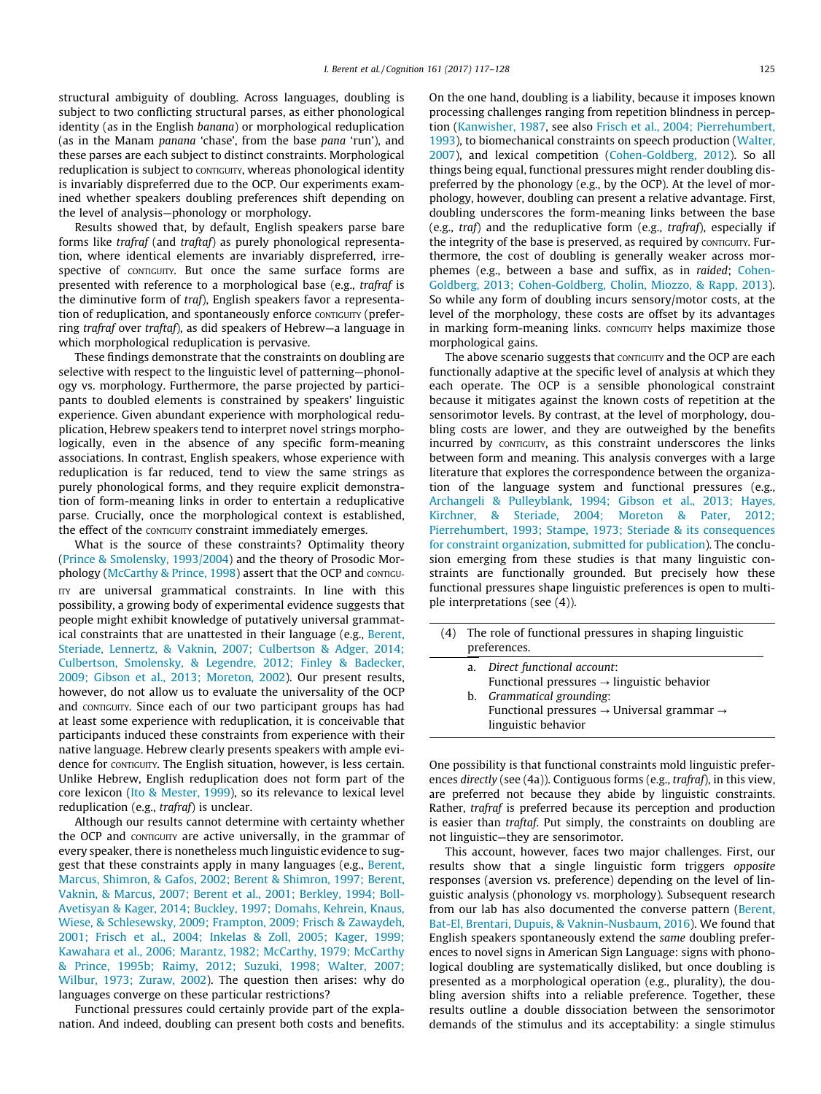structural ambiguity of doubling. Across languages, doubling is subject to two conflicting structural parses, as either phonological identity (as in the English banana) or morphological reduplication (as in the Manam panana 'chase', from the base pana 'run'), and these parses are each subject to distinct constraints. Morphological reduplication is subject to CONTIGUITY, whereas phonological identity is invariably dispreferred due to the OCP. Our experiments examined whether speakers doubling preferences shift depending on the level of analysis—phonology or morphology.

Results showed that, by default, English speakers parse bare forms like trafraf (and traftaf) as purely phonological representation, where identical elements are invariably dispreferred, irrespective of contiguity. But once the same surface forms are presented with reference to a morphological base (e.g., trafraf is the diminutive form of traf), English speakers favor a representation of reduplication, and spontaneously enforce CONTIGUITY (preferring trafraf over traftaf), as did speakers of Hebrew—a language in which morphological reduplication is pervasive.

These findings demonstrate that the constraints on doubling are selective with respect to the linguistic level of patterning—phonology vs. morphology. Furthermore, the parse projected by participants to doubled elements is constrained by speakers' linguistic experience. Given abundant experience with morphological reduplication, Hebrew speakers tend to interpret novel strings morphologically, even in the absence of any specific form-meaning associations. In contrast, English speakers, whose experience with reduplication is far reduced, tend to view the same strings as purely phonological forms, and they require explicit demonstration of form-meaning links in order to entertain a reduplicative parse. Crucially, once the morphological context is established, the effect of the CONTIGUITY constraint immediately emerges.

What is the source of these constraints? Optimality theory ([Prince & Smolensky, 1993/2004\)](#page-11-0) and the theory of Prosodic Mor-phology [\(McCarthy & Prince, 1998](#page-11-0)) assert that the OCP and conticu-ITY are universal grammatical constraints. In line with this possibility, a growing body of experimental evidence suggests that people might exhibit knowledge of putatively universal grammatical constraints that are unattested in their language (e.g., [Berent,](#page-10-0) [Steriade, Lennertz, & Vaknin, 2007; Culbertson & Adger, 2014;](#page-10-0) [Culbertson, Smolensky, & Legendre, 2012; Finley & Badecker,](#page-10-0) [2009; Gibson et al., 2013; Moreton, 2002](#page-10-0)). Our present results, however, do not allow us to evaluate the universality of the OCP and CONTIGUITY. Since each of our two participant groups has had at least some experience with reduplication, it is conceivable that participants induced these constraints from experience with their native language. Hebrew clearly presents speakers with ample evidence for CONTIGUITY. The English situation, however, is less certain. Unlike Hebrew, English reduplication does not form part of the core lexicon ([Ito & Mester, 1999](#page-11-0)), so its relevance to lexical level reduplication (e.g., trafraf) is unclear.

Although our results cannot determine with certainty whether the OCP and CONTIGUITY are active universally, in the grammar of every speaker, there is nonetheless much linguistic evidence to suggest that these constraints apply in many languages (e.g., [Berent,](#page-10-0) [Marcus, Shimron, & Gafos, 2002; Berent & Shimron, 1997; Berent,](#page-10-0) [Vaknin, & Marcus, 2007; Berent et al., 2001; Berkley, 1994; Boll-](#page-10-0)[Avetisyan & Kager, 2014; Buckley, 1997; Domahs, Kehrein, Knaus,](#page-10-0) [Wiese, & Schlesewsky, 2009; Frampton, 2009; Frisch & Zawaydeh,](#page-10-0) [2001; Frisch et al., 2004; Inkelas & Zoll, 2005; Kager, 1999;](#page-10-0) [Kawahara et al., 2006; Marantz, 1982; McCarthy, 1979; McCarthy](#page-10-0) [& Prince, 1995b; Raimy, 2012; Suzuki, 1998; Walter, 2007;](#page-10-0) [Wilbur, 1973; Zuraw, 2002\)](#page-10-0). The question then arises: why do languages converge on these particular restrictions?

Functional pressures could certainly provide part of the explanation. And indeed, doubling can present both costs and benefits. On the one hand, doubling is a liability, because it imposes known processing challenges ranging from repetition blindness in perception [\(Kanwisher, 1987,](#page-11-0) see also [Frisch et al., 2004; Pierrehumbert,](#page-11-0) [1993\)](#page-11-0), to biomechanical constraints on speech production ([Walter,](#page-11-0) [2007](#page-11-0)), and lexical competition [\(Cohen-Goldberg, 2012\)](#page-11-0). So all things being equal, functional pressures might render doubling dispreferred by the phonology (e.g., by the OCP). At the level of morphology, however, doubling can present a relative advantage. First, doubling underscores the form-meaning links between the base (e.g., traf) and the reduplicative form (e.g., trafraf), especially if the integrity of the base is preserved, as required by CONTIGUITY. Furthermore, the cost of doubling is generally weaker across morphemes (e.g., between a base and suffix, as in raided; [Cohen-](#page-11-0)[Goldberg, 2013; Cohen-Goldberg, Cholin, Miozzo, & Rapp, 2013\)](#page-11-0). So while any form of doubling incurs sensory/motor costs, at the level of the morphology, these costs are offset by its advantages in marking form-meaning links, configured helps maximize those morphological gains.

The above scenario suggests that CONTIGUITY and the OCP are each functionally adaptive at the specific level of analysis at which they each operate. The OCP is a sensible phonological constraint because it mitigates against the known costs of repetition at the sensorimotor levels. By contrast, at the level of morphology, doubling costs are lower, and they are outweighed by the benefits incurred by CONTIGUITY, as this constraint underscores the links between form and meaning. This analysis converges with a large literature that explores the correspondence between the organization of the language system and functional pressures (e.g., [Archangeli & Pulleyblank, 1994; Gibson et al., 2013; Hayes,](#page-10-0) [Kirchner, & Steriade, 2004; Moreton & Pater, 2012;](#page-10-0) [Pierrehumbert, 1993; Stampe, 1973; Steriade & its consequences](#page-10-0) [for constraint organization, submitted for publication\)](#page-10-0). The conclusion emerging from these studies is that many linguistic constraints are functionally grounded. But precisely how these functional pressures shape linguistic preferences is open to multiple interpretations (see (4)).

| (4) | The role of functional pressures in shaping linguistic<br>preferences. |                                                                                                                        |  |
|-----|------------------------------------------------------------------------|------------------------------------------------------------------------------------------------------------------------|--|
|     |                                                                        | a. Direct functional account:<br>Functional pressures $\rightarrow$ linguistic behavior                                |  |
|     |                                                                        | b. Grammatical grounding:<br>Functional pressures $\rightarrow$ Universal grammar $\rightarrow$<br>linguistic behavior |  |

One possibility is that functional constraints mold linguistic preferences directly (see (4a)). Contiguous forms (e.g., trafraf), in this view, are preferred not because they abide by linguistic constraints. Rather, trafraf is preferred because its perception and production is easier than traftaf. Put simply, the constraints on doubling are not linguistic—they are sensorimotor.

This account, however, faces two major challenges. First, our results show that a single linguistic form triggers opposite responses (aversion vs. preference) depending on the level of linguistic analysis (phonology vs. morphology). Subsequent research from our lab has also documented the converse pattern ([Berent,](#page-10-0) [Bat-El, Brentari, Dupuis, & Vaknin-Nusbaum, 2016\)](#page-10-0). We found that English speakers spontaneously extend the same doubling preferences to novel signs in American Sign Language: signs with phonological doubling are systematically disliked, but once doubling is presented as a morphological operation (e.g., plurality), the doubling aversion shifts into a reliable preference. Together, these results outline a double dissociation between the sensorimotor demands of the stimulus and its acceptability: a single stimulus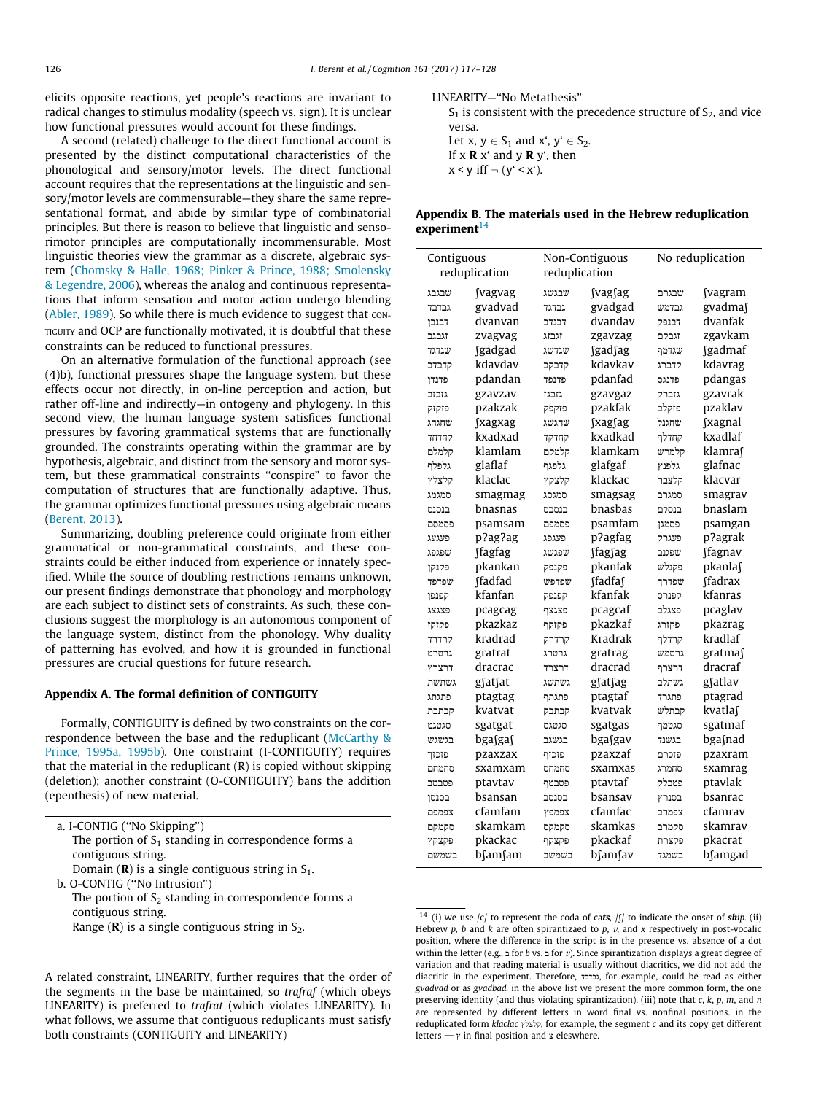<span id="page-9-0"></span>elicits opposite reactions, yet people's reactions are invariant to radical changes to stimulus modality (speech vs. sign). It is unclear how functional pressures would account for these findings.

A second (related) challenge to the direct functional account is presented by the distinct computational characteristics of the phonological and sensory/motor levels. The direct functional account requires that the representations at the linguistic and sensory/motor levels are commensurable—they share the same representational format, and abide by similar type of combinatorial principles. But there is reason to believe that linguistic and sensorimotor principles are computationally incommensurable. Most linguistic theories view the grammar as a discrete, algebraic system [\(Chomsky & Halle, 1968; Pinker & Prince, 1988; Smolensky](#page-11-0) [& Legendre, 2006\)](#page-11-0), whereas the analog and continuous representations that inform sensation and motor action undergo blending ([Abler, 1989](#page-10-0)). So while there is much evidence to suggest that con-TIGUITY and OCP are functionally motivated, it is doubtful that these constraints can be reduced to functional pressures.

On an alternative formulation of the functional approach (see (4)b), functional pressures shape the language system, but these effects occur not directly, in on-line perception and action, but rather off-line and indirectly—in ontogeny and phylogeny. In this second view, the human language system satisfices functional pressures by favoring grammatical systems that are functionally grounded. The constraints operating within the grammar are by hypothesis, algebraic, and distinct from the sensory and motor system, but these grammatical constraints ''conspire" to favor the computation of structures that are functionally adaptive. Thus, the grammar optimizes functional pressures using algebraic means ([Berent, 2013](#page-10-0)).

Summarizing, doubling preference could originate from either grammatical or non-grammatical constraints, and these constraints could be either induced from experience or innately specified. While the source of doubling restrictions remains unknown, our present findings demonstrate that phonology and morphology are each subject to distinct sets of constraints. As such, these conclusions suggest the morphology is an autonomous component of the language system, distinct from the phonology. Why duality of patterning has evolved, and how it is grounded in functional pressures are crucial questions for future research.

#### Appendix A. The formal definition of CONTIGUITY

Formally, CONTIGUITY is defined by two constraints on the correspondence between the base and the reduplicant [\(McCarthy &](#page-11-0) [Prince, 1995a, 1995b](#page-11-0)). One constraint (I-CONTIGUITY) requires that the material in the reduplicant (R) is copied without skipping (deletion); another constraint (O-CONTIGUITY) bans the addition (epenthesis) of new material.

A related constraint, LINEARITY, further requires that the order of the segments in the base be maintained, so trafraf (which obeys LINEARITY) is preferred to trafrat (which violates LINEARITY). In what follows, we assume that contiguous reduplicants must satisfy both constraints (CONTIGUITY and LINEARITY)

LINEARITY—''No Metathesis"

 $S_1$  is consistent with the precedence structure of  $S_2$ , and vice versa. Let x,  $y \in S_1$  and x',  $y' \in S_2$ . If  $x \mathbf{R} x^*$  and  $y \mathbf{R} y^*$ , then

 $x < y$  iff  $- (y' < x')$ .

### Appendix B. The materials used in the Hebrew reduplication experiment $^{14}$

| Contiguous | reduplication  | Non-Contiguous<br>reduplication |         | No reduplication |                 |
|------------|----------------|---------------------------------|---------|------------------|-----------------|
| שבגבג      | <b>Svagvag</b> | שבגשג                           | [vagfag | שבגרם            | <b>fvagram</b>  |
| גבדבד      | gvadvad        | גבדגד                           | gvadgad | גבדמש            | gvadma∫         |
| דבנבן      | dvanvan        | דבנדב                           | dvandav | דבנפק            | dvanfak         |
| זגבגב      | zvagvag        | זגבזג                           | zgavzag | זגבקם            | zgavkam         |
| שגדגד      | <b>Sgadgad</b> | שגדשג                           | fgadfag | שגדמף            | <b>S</b> gadmaf |
| קדבדב      | kdavdav        | קדבקב                           | kdavkav | קדברג            | kdavrag         |
| פדנדן      | pdandan        | פדנפד                           | pdanfad | פדנגס            | pdangas         |
| גזבזב      | gzavzav        | גזבגז                           | gzavgaz | גזברק            | gzavrak         |
| פזקזק      | pzakzak        | פזקפק                           | pzakfak | פזקלב            | pzaklav         |
| שהגהג      | <b>[xagxag</b> | שחגשג                           | ∫xag∫ag | שחגנל            | <b>Sxagnal</b>  |
| קחדחד      | kxadxad        | קחדקד                           | kxadkad | קחדלף            | kxadlaf         |
| קלמלם      | klamlam        | קלמקם                           | klamkam | קלמרש            | klamraf         |
| גלפלף      | glaflaf        | גלפגף                           | glafgaf | גלפנץ            | glafnac         |
| קלצלץ      | klaclac        | קלצקץ                           | klackac | קלצבר            | klacvar         |
| סמגמג      | smagmag        | סמגסג                           | smagsag | סמגרב            | smagrav         |
| בנסנס      | bnasnas        | בנסבס                           | bnasbas | בנסלם            | bnaslam         |
| פסמסם      | psamsam        | פסמפם                           | psamfam | פסמגן            | psamgan         |
| פעגעג      | p?ag?ag        | פעגפג                           | p?agfag | פעגרק            | p?agrak         |
| שפגפג      | <b>fagfag</b>  | שפגשג                           | ∫fag∫ag | שפגנב            | ∫fagnav         |
| פקנקן      | pkankan        | פקגפק                           | pkanfak | פקנלש            | pkanla∫         |
| שפדפד      | <b>fadfad</b>  | שפדפש                           | fadfaf  | שפדרך            | <b>fadrax</b>   |
| קפגפן      | kfanfan        | קפנפק                           | kfanfak | קפנרס            | kfanras         |
| פצגצג      | pcagcag        | פצגצף                           | pcagcaf | פצגלב            | pcaglav         |
| פקזקז      | pkazkaz        | פקזקף                           | pkazkaf | פקזרג            | pkazrag         |
| קרדרד      | kradrad        | קרדרק                           | Kradrak | קרדלף            | kradlaf         |
| גרטרט      | gratrat        | גרטרג                           | gratrag | גרטמש            | gratmas         |
| דרצרץ      | dracrac        | דרצרד                           | dracrad | דרצרף            | dracraf         |
| גשתשת      | g∫at∫at        | גשתשג                           | g∫at∫ag | גשתלב            | gsatlav         |
| פתגתג      | ptagtag        | פתגתף                           | ptagtaf | פתגרד            | ptagrad         |
| קבתבת      | kvatvat        | קבתבק                           | kvatvak | קבתלש            | kvatla∫         |
| סגטגט      | sgatgat        | סגטגס                           | sgatgas | סגטמף            | sgatmaf         |
| בגשגש      | bga∫ga∫        | בגשגב                           | bga∫gav | בגשנד            | bga∫nad         |
| פזכזך      | pzaxzax        | פזכזף                           | pzaxzaf | פזכרם            | pzaxram         |
| סחמחם      | sxamxam        | סחמחס                           | sxamxas | סחמרג            | sxamrag         |
| פטבטב      | ptavtav        | פטבטף                           | ptavtaf | פטבלק            | ptavlak         |
| בסנסן      | bsansan        | בסנסב                           | bsansav | בסנרץ            | bsanrac         |
| צפמפם      | cfamfam        | צפמפץ                           | cfamfac | צפמרב            | cfamrav         |
| סקמקם      | skamkam        | סקמקס                           | skamkas | סקמרב            | skamrav         |
| פקצקץ      | pkackac        | פקצקף                           | pkackaf | פקצרת            | pkacrat         |
| בשמשם      | bsamsam        | בשמשב                           | b{am{av | בשמגד            | bsamgad         |

<sup>&</sup>lt;sup>14</sup> (i) we use /c/ to represent the coda of cats, /f/ to indicate the onset of ship. (ii) Hebrew p, b and  $k$  are often spirantizaed to p,  $v$ , and  $x$  respectively in post-vocalic position, where the difference in the script is in the presence vs. absence of a dot within the letter (e.g.,  $\exists$  for b vs.  $\exists$  for v). Since spirantization displays a great degree of variation and that reading material is usually without diacritics, we did not add the diacritic in the experiment. Therefore, גבדבד, for example, could be read as either gvadvad or as gvadbad. in the above list we present the more common form, the one preserving identity (and thus violating spirantization). (iii) note that  $c$ ,  $k$ ,  $p$ ,  $m$ , and  $n$ are represented by different letters in word final vs. nonfinal positions. in the reduplicated form klaclac קלצלץ, for example, the segment c and its copy get different letters  $-\gamma$  in final position and x eleswhere.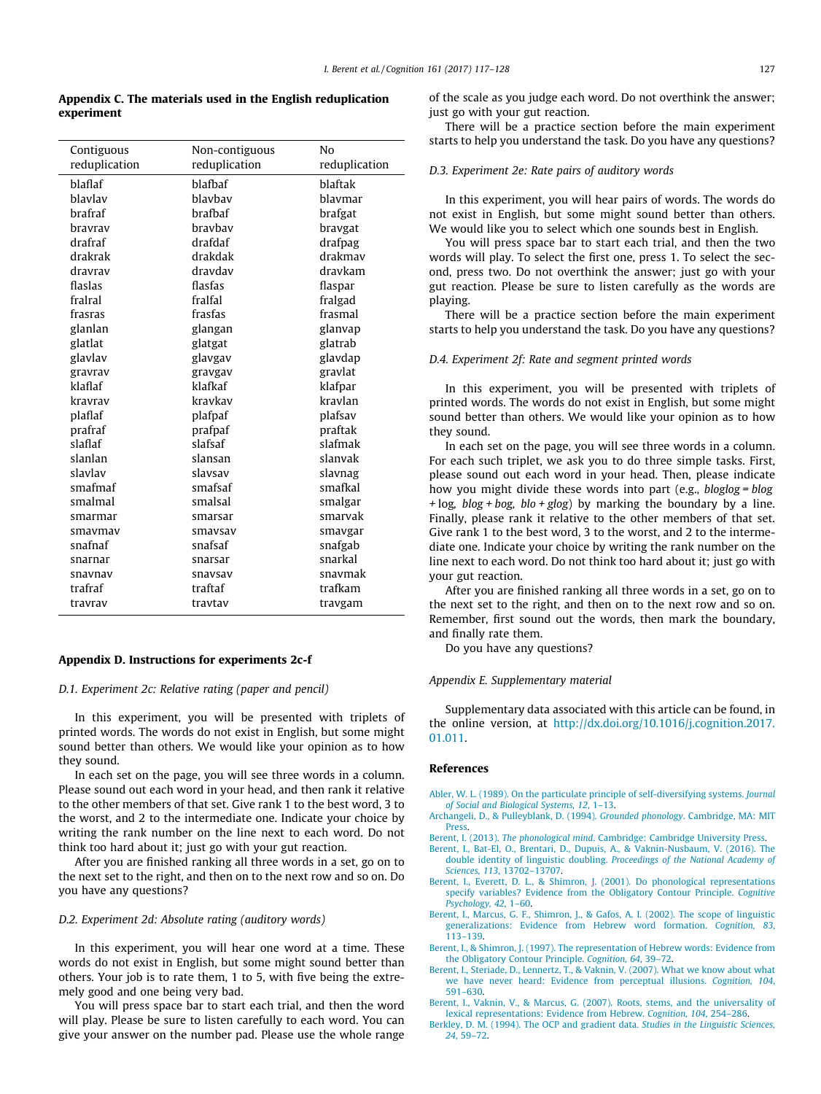# <span id="page-10-0"></span>Appendix C. The materials used in the English reduplication experiment

| Contiguous    |                                 | Nο            |
|---------------|---------------------------------|---------------|
| reduplication | Non-contiguous<br>reduplication | reduplication |
|               |                                 |               |
| blaflaf       | blafbaf                         | blaftak       |
| blavlav       | blaybay                         | blaymar       |
| brafraf       | brafbaf                         | brafgat       |
| bravrav       | braybay                         | bravgat       |
| drafraf       | drafdaf                         | drafpag       |
| drakrak       | drakdak                         | drakmav       |
| dravrav       | drayday                         | dravkam       |
| flaslas       | flasfas                         | flaspar       |
| fralral       | fralfal                         | fralgad       |
| frasras       | frasfas                         | frasmal       |
| glanlan       | glangan                         | glanvap       |
| glatlat       | glatgat                         | glatrab       |
| glavlav       | glavgav                         | glavdap       |
| gravrav       | gravgav                         | gravlat       |
| klaflaf       | klafkaf                         | klafpar       |
| kravrav       | kravkav                         | kravlan       |
| plaflaf       | plafpaf                         | plafsav       |
| prafraf       | prafpaf                         | praftak       |
| slaflaf       | slafsaf                         | slafmak       |
| slanlan       | slansan                         | slanvak       |
| slavlav       | slavsav                         | slavnag       |
| smafmaf       | smafsaf                         | smafkal       |
| smalmal       | smalsal                         | smalgar       |
| smarmar       | smarsar                         | smarvak       |
| smaymay       | smaysay                         | smavgar       |
| snafnaf       | snafsaf                         | snafgab       |
| snarnar       | snarsar                         | snarkal       |
| snavnav       | snavsav                         | snavmak       |
| trafraf       | traftaf                         | trafkam       |
| travrav       | travtav                         | travgam       |

# Appendix D. Instructions for experiments 2c-f

#### D.1. Experiment 2c: Relative rating (paper and pencil)

In this experiment, you will be presented with triplets of printed words. The words do not exist in English, but some might sound better than others. We would like your opinion as to how they sound.

In each set on the page, you will see three words in a column. Please sound out each word in your head, and then rank it relative to the other members of that set. Give rank 1 to the best word, 3 to the worst, and 2 to the intermediate one. Indicate your choice by writing the rank number on the line next to each word. Do not think too hard about it; just go with your gut reaction.

After you are finished ranking all three words in a set, go on to the next set to the right, and then on to the next row and so on. Do you have any questions?

#### D.2. Experiment 2d: Absolute rating (auditory words)

In this experiment, you will hear one word at a time. These words do not exist in English, but some might sound better than others. Your job is to rate them, 1 to 5, with five being the extremely good and one being very bad.

You will press space bar to start each trial, and then the word will play. Please be sure to listen carefully to each word. You can give your answer on the number pad. Please use the whole range

of the scale as you judge each word. Do not overthink the answer; just go with your gut reaction.

There will be a practice section before the main experiment starts to help you understand the task. Do you have any questions?

#### D.3. Experiment 2e: Rate pairs of auditory words

In this experiment, you will hear pairs of words. The words do not exist in English, but some might sound better than others. We would like you to select which one sounds best in English.

You will press space bar to start each trial, and then the two words will play. To select the first one, press 1. To select the second, press two. Do not overthink the answer; just go with your gut reaction. Please be sure to listen carefully as the words are playing.

There will be a practice section before the main experiment starts to help you understand the task. Do you have any questions?

#### D.4. Experiment 2f: Rate and segment printed words

In this experiment, you will be presented with triplets of printed words. The words do not exist in English, but some might sound better than others. We would like your opinion as to how they sound.

In each set on the page, you will see three words in a column. For each such triplet, we ask you to do three simple tasks. First, please sound out each word in your head. Then, please indicate how you might divide these words into part (e.g., bloglog = blog  $+ \log$ , blog + bog, blo + glog) by marking the boundary by a line. Finally, please rank it relative to the other members of that set. Give rank 1 to the best word, 3 to the worst, and 2 to the intermediate one. Indicate your choice by writing the rank number on the line next to each word. Do not think too hard about it; just go with your gut reaction.

After you are finished ranking all three words in a set, go on to the next set to the right, and then on to the next row and so on. Remember, first sound out the words, then mark the boundary, and finally rate them.

Do you have any questions?

#### Appendix E. Supplementary material

Supplementary data associated with this article can be found, in the online version, at [http://dx.doi.org/10.1016/j.cognition.2017.](http://dx.doi.org/10.1016/j.cognition.2017.01.011) [01.011](http://dx.doi.org/10.1016/j.cognition.2017.01.011).

#### References

- [Abler, W. L. \(1989\). On the particulate principle of self-diversifying systems.](http://refhub.elsevier.com/S0010-0277(17)30011-2/h0005) Journal [of Social and Biological Systems, 12](http://refhub.elsevier.com/S0010-0277(17)30011-2/h0005), 1–13.
- [Archangeli, D., & Pulleyblank, D. \(1994\).](http://refhub.elsevier.com/S0010-0277(17)30011-2/h0010) Grounded phonology. Cambridge, MA: MIT **[Press](http://refhub.elsevier.com/S0010-0277(17)30011-2/h0010)**
- Berent, I. (2013). The phonological mind[. Cambridge: Cambridge University Press](http://refhub.elsevier.com/S0010-0277(17)30011-2/h0020).
- [Berent, I., Bat-El, O., Brentari, D., Dupuis, A., & Vaknin-Nusbaum, V. \(2016\). The](http://refhub.elsevier.com/S0010-0277(17)30011-2/h0025) double identity of linguistic doubling. [Proceedings of the National Academy of](http://refhub.elsevier.com/S0010-0277(17)30011-2/h0025) Sciences, 113[, 13702–13707.](http://refhub.elsevier.com/S0010-0277(17)30011-2/h0025)
- [Berent, I., Everett, D. L., & Shimron, J. \(2001\). Do phonological representations](http://refhub.elsevier.com/S0010-0277(17)30011-2/h0030) [specify variables? Evidence from the Obligatory Contour Principle.](http://refhub.elsevier.com/S0010-0277(17)30011-2/h0030) Cognitive [Psychology, 42](http://refhub.elsevier.com/S0010-0277(17)30011-2/h0030), 1–60.
- [Berent, I., Marcus, G. F., Shimron, J., & Gafos, A. I. \(2002\). The scope of linguistic](http://refhub.elsevier.com/S0010-0277(17)30011-2/h0035) [generalizations: Evidence from Hebrew word formation.](http://refhub.elsevier.com/S0010-0277(17)30011-2/h0035) Cognition, 83, [113–139](http://refhub.elsevier.com/S0010-0277(17)30011-2/h0035).
- [Berent, I., & Shimron, J. \(1997\). The representation of Hebrew words: Evidence from](http://refhub.elsevier.com/S0010-0277(17)30011-2/h0040) [the Obligatory Contour Principle.](http://refhub.elsevier.com/S0010-0277(17)30011-2/h0040) Cognition, 64, 39–72.
- [Berent, I., Steriade, D., Lennertz, T., & Vaknin, V. \(2007\). What we know about what](http://refhub.elsevier.com/S0010-0277(17)30011-2/h0045) [we have never heard: Evidence from perceptual illusions.](http://refhub.elsevier.com/S0010-0277(17)30011-2/h0045) Cognition, 104, [591–630](http://refhub.elsevier.com/S0010-0277(17)30011-2/h0045).
- [Berent, I., Vaknin, V., & Marcus, G. \(2007\). Roots, stems, and the universality of](http://refhub.elsevier.com/S0010-0277(17)30011-2/h0050) [lexical representations: Evidence from Hebrew.](http://refhub.elsevier.com/S0010-0277(17)30011-2/h0050) Cognition, 104, 254–286.
- [Berkley, D. M. \(1994\). The OCP and gradient data.](http://refhub.elsevier.com/S0010-0277(17)30011-2/h0055) Studies in the Linguistic Sciences, 24[, 59–72](http://refhub.elsevier.com/S0010-0277(17)30011-2/h0055).